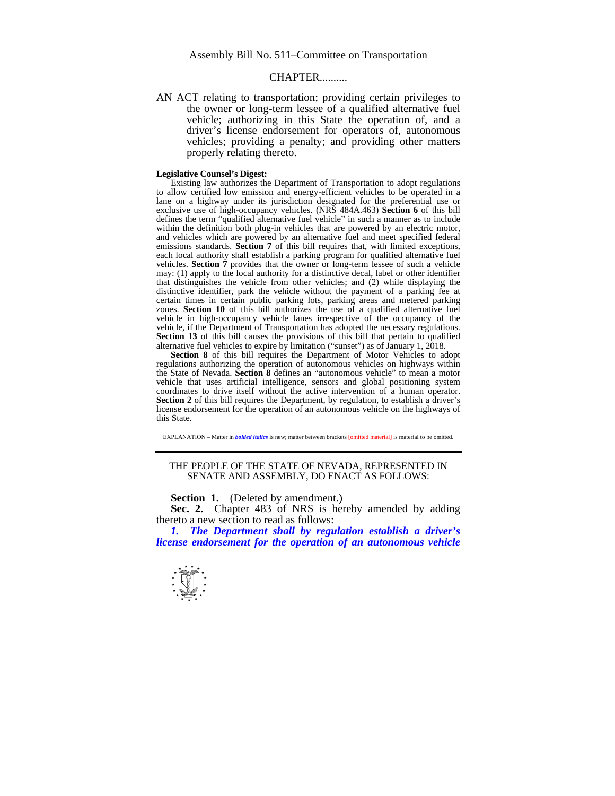## CHAPTER..........

AN ACT relating to transportation; providing certain privileges to the owner or long-term lessee of a qualified alternative fuel vehicle; authorizing in this State the operation of, and a driver's license endorsement for operators of, autonomous vehicles; providing a penalty; and providing other matters properly relating thereto.

## **Legislative Counsel's Digest:**

 Existing law authorizes the Department of Transportation to adopt regulations to allow certified low emission and energy-efficient vehicles to be operated in a lane on a highway under its jurisdiction designated for the preferential use or exclusive use of high-occupancy vehicles. (NRS 484A.463) **Section 6** of this bill defines the term "qualified alternative fuel vehicle" in such a manner as to include within the definition both plug-in vehicles that are powered by an electric motor, and vehicles which are powered by an alternative fuel and meet specified federal emissions standards. **Section 7** of this bill requires that, with limited exceptions, each local authority shall establish a parking program for qualified alternative fuel vehicles. **Section 7** provides that the owner or long-term lessee of such a vehicle may: (1) apply to the local authority for a distinctive decal, label or other identifier that distinguishes the vehicle from other vehicles; and (2) while displaying the distinctive identifier, park the vehicle without the payment of a parking fee at certain times in certain public parking lots, parking areas and metered parking zones. **Section 10** of this bill authorizes the use of a qualified alternative fuel vehicle in high-occupancy vehicle lanes irrespective of the occupancy of the vehicle, if the Department of Transportation has adopted the necessary regulations. **Section 13** of this bill causes the provisions of this bill that pertain to qualified alternative fuel vehicles to expire by limitation ("sunset") as of January 1, 2018.

**Section 8** of this bill requires the Department of Motor Vehicles to adopt regulations authorizing the operation of autonomous vehicles on highways within the State of Nevada. **Section 8** defines an "autonomous vehicle" to mean a motor vehicle that uses artificial intelligence, sensors and global positioning system coordinates to drive itself without the active intervention of a human operator. **Section 2** of this bill requires the Department, by regulation, to establish a driver's license endorsement for the operation of an autonomous vehicle on the highways of this State.

EXPLANATION – Matter in *bolded italics* is new; matter between brackets **[**omitted material**]** is material to be omitted.

## THE PEOPLE OF THE STATE OF NEVADA, REPRESENTED IN SENATE AND ASSEMBLY, DO ENACT AS FOLLOWS:

**Section 1.** (Deleted by amendment.)

Sec. 2. Chapter 483 of NRS is hereby amended by adding thereto a new section to read as follows:

*1. The Department shall by regulation establish a driver's license endorsement for the operation of an autonomous vehicle* 

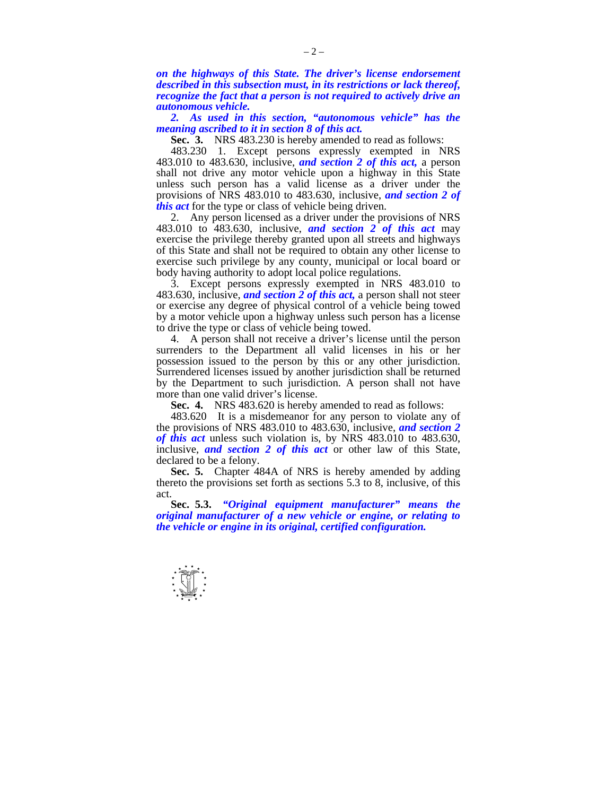*on the highways of this State. The driver's license endorsement described in this subsection must, in its restrictions or lack thereof, recognize the fact that a person is not required to actively drive an autonomous vehicle.* 

 *2. As used in this section, "autonomous vehicle" has the meaning ascribed to it in section 8 of this act.* 

 **Sec. 3.** NRS 483.230 is hereby amended to read as follows:

 483.230 1. Except persons expressly exempted in NRS 483.010 to 483.630, inclusive, *and section 2 of this act,* a person shall not drive any motor vehicle upon a highway in this State unless such person has a valid license as a driver under the provisions of NRS 483.010 to 483.630, inclusive, *and section 2 of this act* for the type or class of vehicle being driven.

 2. Any person licensed as a driver under the provisions of NRS 483.010 to 483.630, inclusive, *and section 2 of this act* may exercise the privilege thereby granted upon all streets and highways of this State and shall not be required to obtain any other license to exercise such privilege by any county, municipal or local board or body having authority to adopt local police regulations.

 3. Except persons expressly exempted in NRS 483.010 to 483.630, inclusive, *and section 2 of this act,* a person shall not steer or exercise any degree of physical control of a vehicle being towed by a motor vehicle upon a highway unless such person has a license to drive the type or class of vehicle being towed.

 4. A person shall not receive a driver's license until the person surrenders to the Department all valid licenses in his or her possession issued to the person by this or any other jurisdiction. Surrendered licenses issued by another jurisdiction shall be returned by the Department to such jurisdiction. A person shall not have more than one valid driver's license.

 **Sec. 4.** NRS 483.620 is hereby amended to read as follows:

 483.620 It is a misdemeanor for any person to violate any of the provisions of NRS 483.010 to 483.630, inclusive, *and section 2 of this act* unless such violation is, by NRS 483.010 to 483.630, inclusive, *and section 2 of this act* or other law of this State, declared to be a felony.

**Sec. 5.** Chapter 484A of NRS is hereby amended by adding thereto the provisions set forth as sections 5.3 to 8, inclusive, of this act.

 **Sec. 5.3.** *"Original equipment manufacturer" means the original manufacturer of a new vehicle or engine, or relating to the vehicle or engine in its original, certified configuration.* 

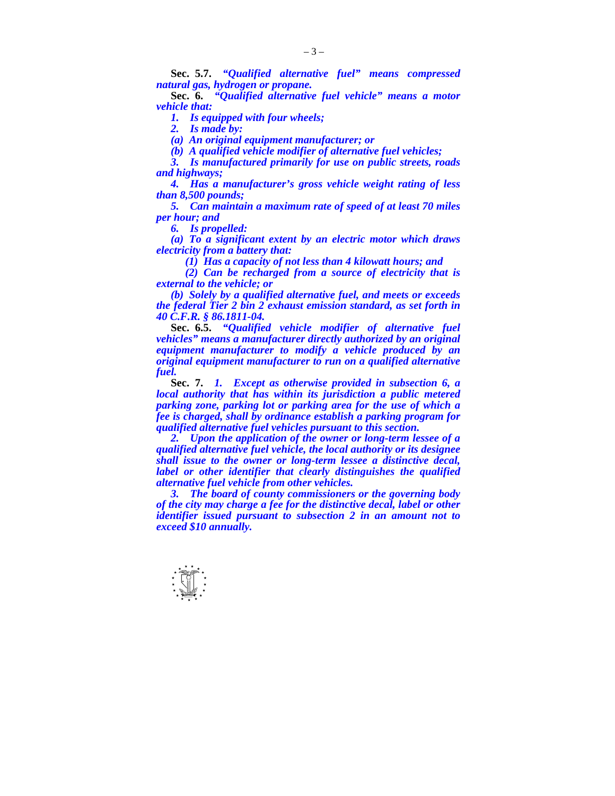**Sec. 5.7.** *"Qualified alternative fuel" means compressed natural gas, hydrogen or propane.* 

 **Sec. 6.** *"Qualified alternative fuel vehicle" means a motor vehicle that:* 

*1. Is equipped with four wheels;* 

 *2. Is made by:* 

*(a) An original equipment manufacturer; or* 

 *(b) A qualified vehicle modifier of alternative fuel vehicles;* 

 *3. Is manufactured primarily for use on public streets, roads and highways;* 

 *4. Has a manufacturer's gross vehicle weight rating of less than 8,500 pounds;* 

 *5. Can maintain a maximum rate of speed of at least 70 miles per hour; and* 

 *6. Is propelled:* 

 *(a) To a significant extent by an electric motor which draws electricity from a battery that:* 

 *(1) Has a capacity of not less than 4 kilowatt hours; and* 

 *(2) Can be recharged from a source of electricity that is external to the vehicle; or* 

 *(b) Solely by a qualified alternative fuel, and meets or exceeds the federal Tier 2 bin 2 exhaust emission standard, as set forth in 40 C.F.R. § 86.1811-04.* 

 **Sec. 6.5.** *"Qualified vehicle modifier of alternative fuel vehicles" means a manufacturer directly authorized by an original equipment manufacturer to modify a vehicle produced by an original equipment manufacturer to run on a qualified alternative fuel.* 

 **Sec. 7.** *1. Except as otherwise provided in subsection 6, a local authority that has within its jurisdiction a public metered parking zone, parking lot or parking area for the use of which a fee is charged, shall by ordinance establish a parking program for qualified alternative fuel vehicles pursuant to this section.* 

 *2. Upon the application of the owner or long-term lessee of a qualified alternative fuel vehicle, the local authority or its designee shall issue to the owner or long-term lessee a distinctive decal, label or other identifier that clearly distinguishes the qualified alternative fuel vehicle from other vehicles.* 

 *3. The board of county commissioners or the governing body of the city may charge a fee for the distinctive decal, label or other identifier issued pursuant to subsection 2 in an amount not to exceed \$10 annually.* 

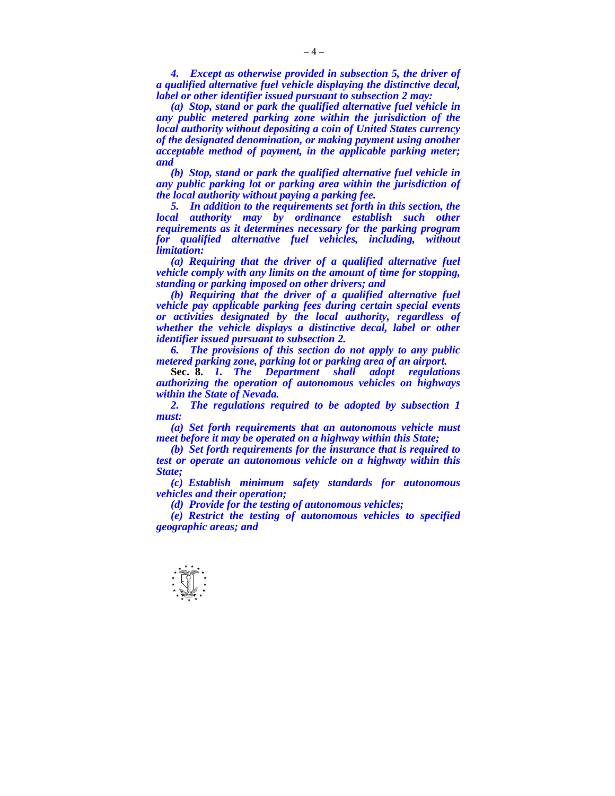*4. Except as otherwise provided in subsection 5, the driver of a qualified alternative fuel vehicle displaying the distinctive decal, label or other identifier issued pursuant to subsection 2 may:* 

 *(a) Stop, stand or park the qualified alternative fuel vehicle in any public metered parking zone within the jurisdiction of the local authority without depositing a coin of United States currency of the designated denomination, or making payment using another acceptable method of payment, in the applicable parking meter; and* 

 *(b) Stop, stand or park the qualified alternative fuel vehicle in any public parking lot or parking area within the jurisdiction of the local authority without paying a parking fee.* 

 *5. In addition to the requirements set forth in this section, the local authority may by ordinance establish such other requirements as it determines necessary for the parking program for qualified alternative fuel vehicles, including, without limitation:* 

 *(a) Requiring that the driver of a qualified alternative fuel vehicle comply with any limits on the amount of time for stopping, standing or parking imposed on other drivers; and* 

 *(b) Requiring that the driver of a qualified alternative fuel vehicle pay applicable parking fees during certain special events or activities designated by the local authority, regardless of whether the vehicle displays a distinctive decal, label or other identifier issued pursuant to subsection 2.* 

 *6. The provisions of this section do not apply to any public metered parking zone, parking lot or parking area of an airport.* 

 **Sec. 8.** *1. The Department shall adopt regulations authorizing the operation of autonomous vehicles on highways within the State of Nevada.* 

 *2. The regulations required to be adopted by subsection 1 must:* 

 *(a) Set forth requirements that an autonomous vehicle must meet before it may be operated on a highway within this State;* 

 *(b) Set forth requirements for the insurance that is required to test or operate an autonomous vehicle on a highway within this State;* 

 *(c) Establish minimum safety standards for autonomous vehicles and their operation;* 

 *(d) Provide for the testing of autonomous vehicles;* 

 *(e) Restrict the testing of autonomous vehicles to specified geographic areas; and* 

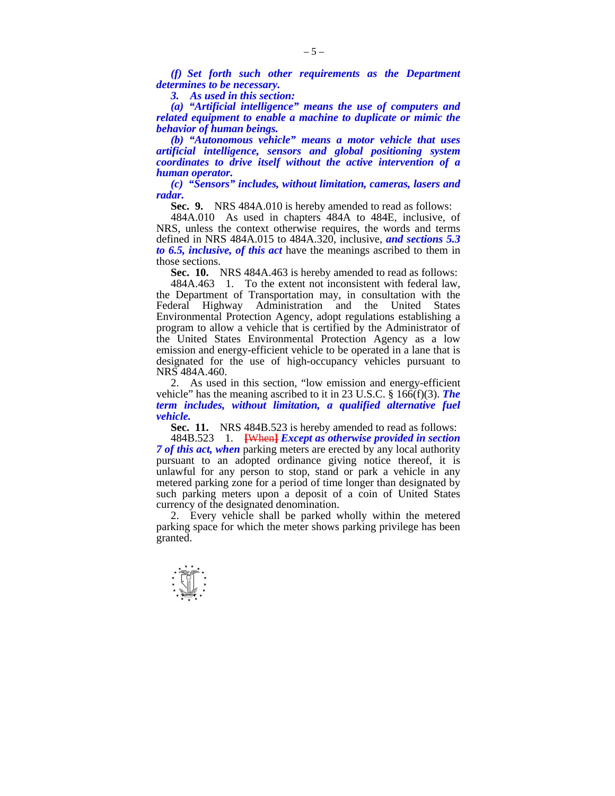*(f) Set forth such other requirements as the Department determines to be necessary.* 

 *3. As used in this section:* 

 *(a) "Artificial intelligence" means the use of computers and related equipment to enable a machine to duplicate or mimic the behavior of human beings.* 

 *(b) "Autonomous vehicle" means a motor vehicle that uses artificial intelligence, sensors and global positioning system coordinates to drive itself without the active intervention of a human operator.* 

 *(c) "Sensors" includes, without limitation, cameras, lasers and radar.* 

 **Sec. 9.** NRS 484A.010 is hereby amended to read as follows:

 484A.010 As used in chapters 484A to 484E, inclusive, of NRS, unless the context otherwise requires, the words and terms defined in NRS 484A.015 to 484A.320, inclusive, *and sections 5.3 to 6.5, inclusive, of this act* have the meanings ascribed to them in those sections.

 **Sec. 10.** NRS 484A.463 is hereby amended to read as follows:

 484A.463 1. To the extent not inconsistent with federal law, the Department of Transportation may, in consultation with the Federal Highway Administration and the United States Environmental Protection Agency, adopt regulations establishing a program to allow a vehicle that is certified by the Administrator of the United States Environmental Protection Agency as a low emission and energy-efficient vehicle to be operated in a lane that is designated for the use of high-occupancy vehicles pursuant to NRS 484A.460.

 2. As used in this section, "low emission and energy-efficient vehicle" has the meaning ascribed to it in 23 U.S.C. § 166(f)(3). *The term includes, without limitation, a qualified alternative fuel vehicle.* 

**Sec. 11.** NRS 484B.523 is hereby amended to read as follows:

 484B.523 1. **[**When**]** *Except as otherwise provided in section 7 of this act, when* parking meters are erected by any local authority pursuant to an adopted ordinance giving notice thereof, it is unlawful for any person to stop, stand or park a vehicle in any metered parking zone for a period of time longer than designated by such parking meters upon a deposit of a coin of United States currency of the designated denomination.

 2. Every vehicle shall be parked wholly within the metered parking space for which the meter shows parking privilege has been granted.